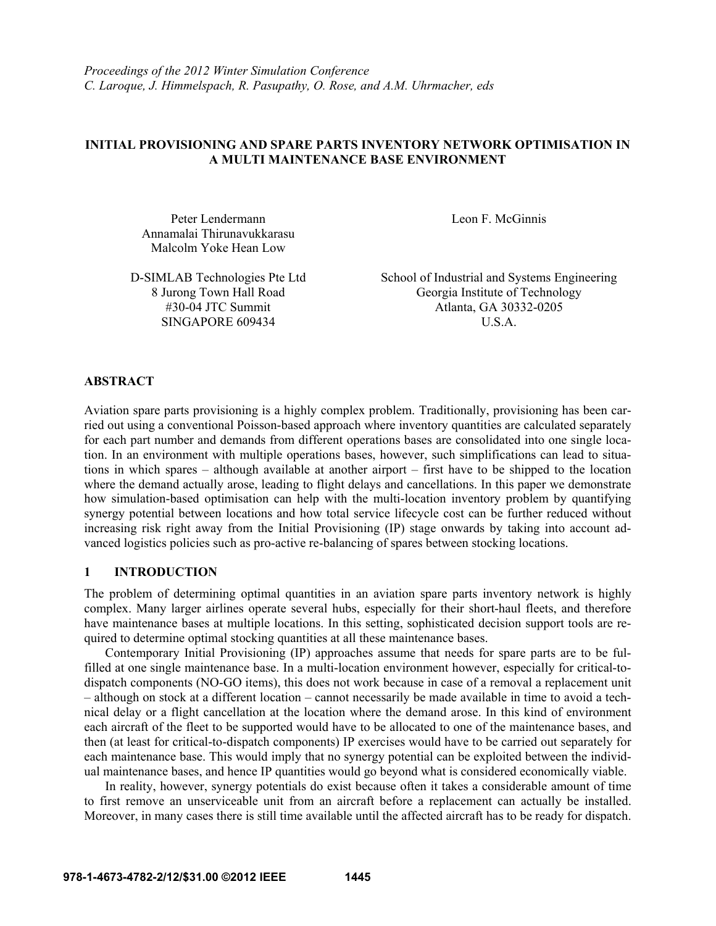## **INITIAL PROVISIONING AND SPARE PARTS INVENTORY NETWORK OPTIMISATION IN A MULTI MAINTENANCE BASE ENVIRONMENT**

Peter Lendermann Annamalai Thirunavukkarasu Malcolm Yoke Hean Low

8 Jurong Town Hall Road #30-04 JTC Summit SINGAPORE 609434 U.S.A.

Leon F. McGinnis

D-SIMLAB Technologies Pte Ltd School of Industrial and Systems Engineering Georgia Institute of Technology Atlanta, GA 30332-0205

# **ABSTRACT**

Aviation spare parts provisioning is a highly complex problem. Traditionally, provisioning has been carried out using a conventional Poisson-based approach where inventory quantities are calculated separately for each part number and demands from different operations bases are consolidated into one single location. In an environment with multiple operations bases, however, such simplifications can lead to situations in which spares – although available at another airport – first have to be shipped to the location where the demand actually arose, leading to flight delays and cancellations. In this paper we demonstrate how simulation-based optimisation can help with the multi-location inventory problem by quantifying synergy potential between locations and how total service lifecycle cost can be further reduced without increasing risk right away from the Initial Provisioning (IP) stage onwards by taking into account advanced logistics policies such as pro-active re-balancing of spares between stocking locations.

## **1 INTRODUCTION**

The problem of determining optimal quantities in an aviation spare parts inventory network is highly complex. Many larger airlines operate several hubs, especially for their short-haul fleets, and therefore have maintenance bases at multiple locations. In this setting, sophisticated decision support tools are required to determine optimal stocking quantities at all these maintenance bases.

Contemporary Initial Provisioning (IP) approaches assume that needs for spare parts are to be fulfilled at one single maintenance base. In a multi-location environment however, especially for critical-todispatch components (NO-GO items), this does not work because in case of a removal a replacement unit – although on stock at a different location – cannot necessarily be made available in time to avoid a technical delay or a flight cancellation at the location where the demand arose. In this kind of environment each aircraft of the fleet to be supported would have to be allocated to one of the maintenance bases, and then (at least for critical-to-dispatch components) IP exercises would have to be carried out separately for each maintenance base. This would imply that no synergy potential can be exploited between the individual maintenance bases, and hence IP quantities would go beyond what is considered economically viable.

In reality, however, synergy potentials do exist because often it takes a considerable amount of time to first remove an unserviceable unit from an aircraft before a replacement can actually be installed. Moreover, in many cases there is still time available until the affected aircraft has to be ready for dispatch.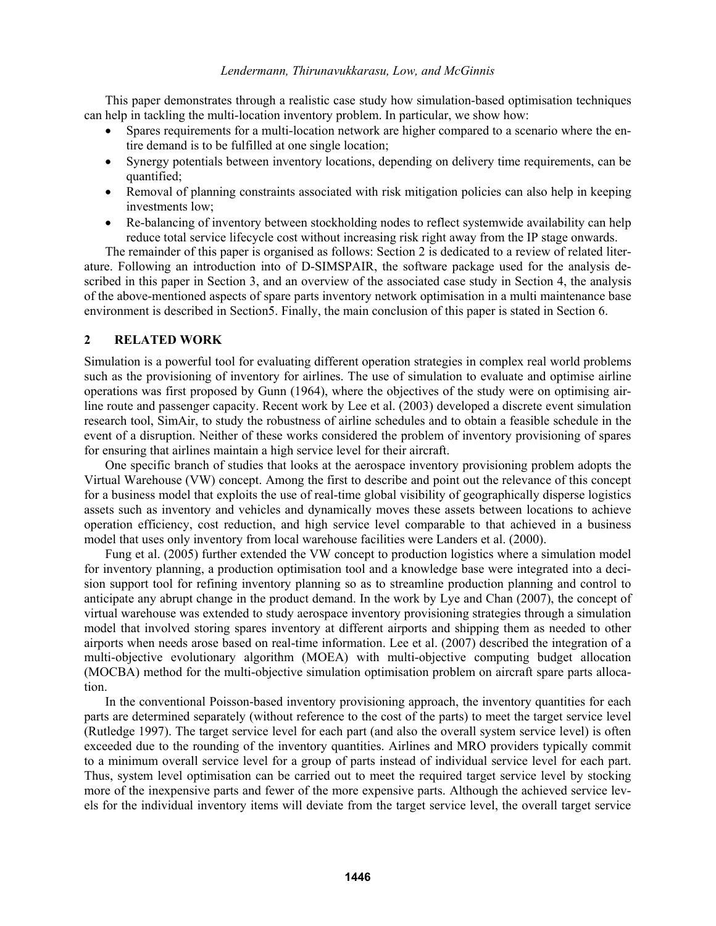This paper demonstrates through a realistic case study how simulation-based optimisation techniques can help in tackling the multi-location inventory problem. In particular, we show how:

- Spares requirements for a multi-location network are higher compared to a scenario where the entire demand is to be fulfilled at one single location;
- Synergy potentials between inventory locations, depending on delivery time requirements, can be quantified;
- Removal of planning constraints associated with risk mitigation policies can also help in keeping investments low;
- Re-balancing of inventory between stockholding nodes to reflect systemwide availability can help reduce total service lifecycle cost without increasing risk right away from the IP stage onwards.

The remainder of this paper is organised as follows: Section 2 is dedicated to a review of related literature. Following an introduction into of D-SIMSPAIR, the software package used for the analysis described in this paper in Section 3, and an overview of the associated case study in Section 4, the analysis of the above-mentioned aspects of spare parts inventory network optimisation in a multi maintenance base environment is described in Section5. Finally, the main conclusion of this paper is stated in Section 6.

### **2 RELATED WORK**

Simulation is a powerful tool for evaluating different operation strategies in complex real world problems such as the provisioning of inventory for airlines. The use of simulation to evaluate and optimise airline operations was first proposed by Gunn (1964), where the objectives of the study were on optimising airline route and passenger capacity. Recent work by Lee et al. (2003) developed a discrete event simulation research tool, SimAir, to study the robustness of airline schedules and to obtain a feasible schedule in the event of a disruption. Neither of these works considered the problem of inventory provisioning of spares for ensuring that airlines maintain a high service level for their aircraft.

One specific branch of studies that looks at the aerospace inventory provisioning problem adopts the Virtual Warehouse (VW) concept. Among the first to describe and point out the relevance of this concept for a business model that exploits the use of real-time global visibility of geographically disperse logistics assets such as inventory and vehicles and dynamically moves these assets between locations to achieve operation efficiency, cost reduction, and high service level comparable to that achieved in a business model that uses only inventory from local warehouse facilities were Landers et al. (2000).

Fung et al. (2005) further extended the VW concept to production logistics where a simulation model for inventory planning, a production optimisation tool and a knowledge base were integrated into a decision support tool for refining inventory planning so as to streamline production planning and control to anticipate any abrupt change in the product demand. In the work by Lye and Chan (2007), the concept of virtual warehouse was extended to study aerospace inventory provisioning strategies through a simulation model that involved storing spares inventory at different airports and shipping them as needed to other airports when needs arose based on real-time information. Lee et al. (2007) described the integration of a multi-objective evolutionary algorithm (MOEA) with multi-objective computing budget allocation (MOCBA) method for the multi-objective simulation optimisation problem on aircraft spare parts allocation.

In the conventional Poisson-based inventory provisioning approach, the inventory quantities for each parts are determined separately (without reference to the cost of the parts) to meet the target service level (Rutledge 1997). The target service level for each part (and also the overall system service level) is often exceeded due to the rounding of the inventory quantities. Airlines and MRO providers typically commit to a minimum overall service level for a group of parts instead of individual service level for each part. Thus, system level optimisation can be carried out to meet the required target service level by stocking more of the inexpensive parts and fewer of the more expensive parts. Although the achieved service levels for the individual inventory items will deviate from the target service level, the overall target service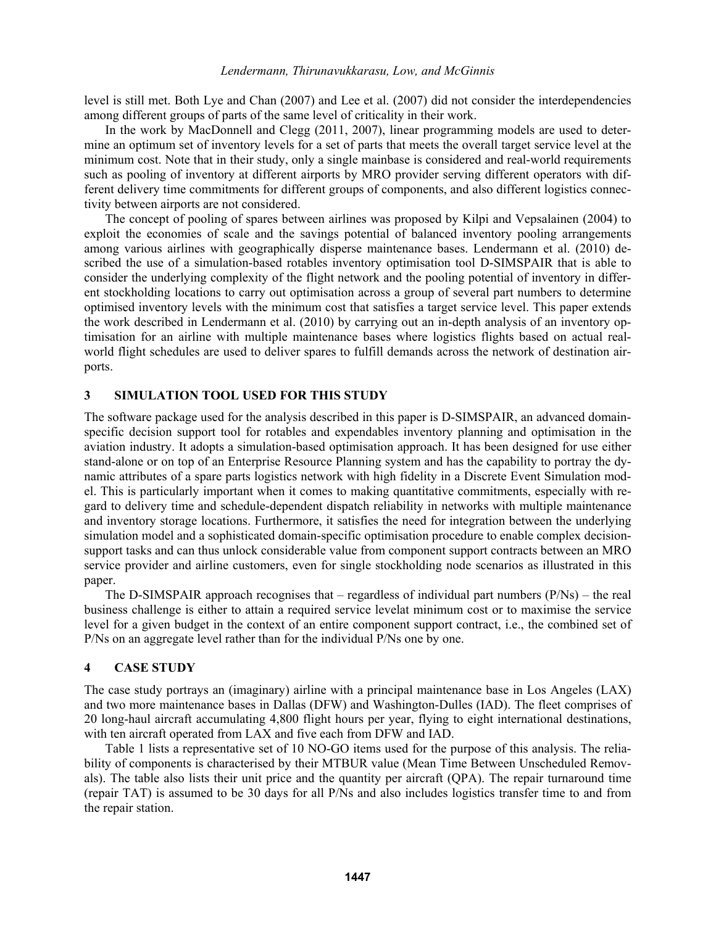level is still met. Both Lye and Chan (2007) and Lee et al. (2007) did not consider the interdependencies among different groups of parts of the same level of criticality in their work.

In the work by MacDonnell and Clegg (2011, 2007), linear programming models are used to determine an optimum set of inventory levels for a set of parts that meets the overall target service level at the minimum cost. Note that in their study, only a single mainbase is considered and real-world requirements such as pooling of inventory at different airports by MRO provider serving different operators with different delivery time commitments for different groups of components, and also different logistics connectivity between airports are not considered.

The concept of pooling of spares between airlines was proposed by Kilpi and Vepsalainen (2004) to exploit the economies of scale and the savings potential of balanced inventory pooling arrangements among various airlines with geographically disperse maintenance bases. Lendermann et al. (2010) described the use of a simulation-based rotables inventory optimisation tool D-SIMSPAIR that is able to consider the underlying complexity of the flight network and the pooling potential of inventory in different stockholding locations to carry out optimisation across a group of several part numbers to determine optimised inventory levels with the minimum cost that satisfies a target service level. This paper extends the work described in Lendermann et al. (2010) by carrying out an in-depth analysis of an inventory optimisation for an airline with multiple maintenance bases where logistics flights based on actual realworld flight schedules are used to deliver spares to fulfill demands across the network of destination airports.

## **3 SIMULATION TOOL USED FOR THIS STUDY**

The software package used for the analysis described in this paper is D-SIMSPAIR, an advanced domainspecific decision support tool for rotables and expendables inventory planning and optimisation in the aviation industry. It adopts a simulation-based optimisation approach. It has been designed for use either stand-alone or on top of an Enterprise Resource Planning system and has the capability to portray the dynamic attributes of a spare parts logistics network with high fidelity in a Discrete Event Simulation model. This is particularly important when it comes to making quantitative commitments, especially with regard to delivery time and schedule-dependent dispatch reliability in networks with multiple maintenance and inventory storage locations. Furthermore, it satisfies the need for integration between the underlying simulation model and a sophisticated domain-specific optimisation procedure to enable complex decisionsupport tasks and can thus unlock considerable value from component support contracts between an MRO service provider and airline customers, even for single stockholding node scenarios as illustrated in this paper.

The D-SIMSPAIR approach recognises that – regardless of individual part numbers  $(P/Ns)$  – the real business challenge is either to attain a required service levelat minimum cost or to maximise the service level for a given budget in the context of an entire component support contract, i.e., the combined set of P/Ns on an aggregate level rather than for the individual P/Ns one by one.

## **4 CASE STUDY**

The case study portrays an (imaginary) airline with a principal maintenance base in Los Angeles (LAX) and two more maintenance bases in Dallas (DFW) and Washington-Dulles (IAD). The fleet comprises of 20 long-haul aircraft accumulating 4,800 flight hours per year, flying to eight international destinations, with ten aircraft operated from LAX and five each from DFW and IAD.

Table 1 lists a representative set of 10 NO-GO items used for the purpose of this analysis. The reliability of components is characterised by their MTBUR value (Mean Time Between Unscheduled Removals). The table also lists their unit price and the quantity per aircraft (QPA). The repair turnaround time (repair TAT) is assumed to be 30 days for all P/Ns and also includes logistics transfer time to and from the repair station.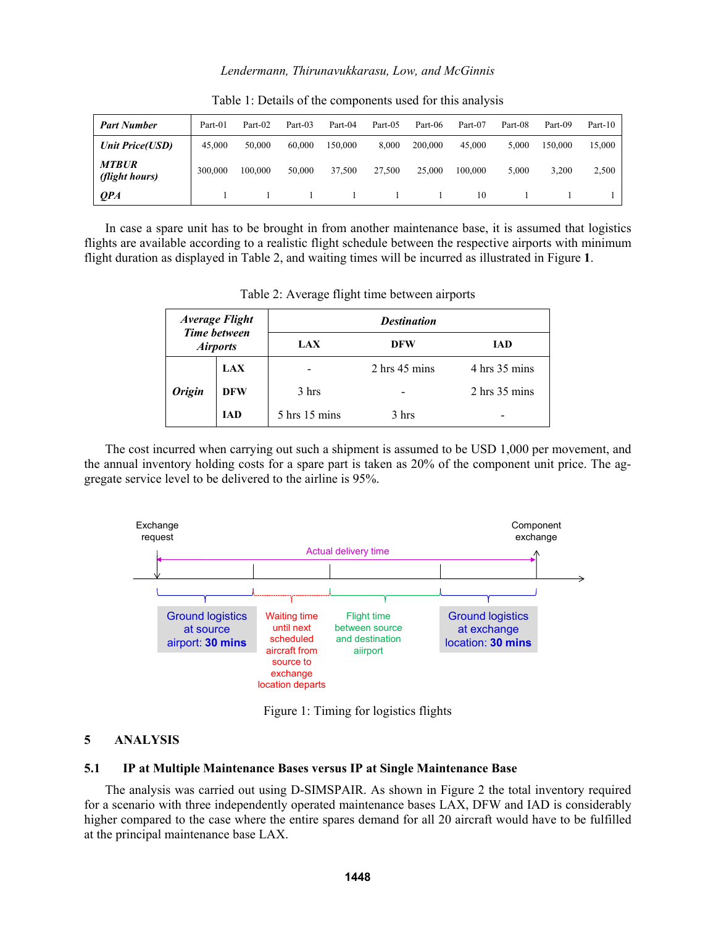| <b>Part Number</b>             | Part-01 | Part-02 | Part-03 | Part-04 | Part-05 | Part-06 | Part-07 | Part-08 | Part-09 | Part-10 |
|--------------------------------|---------|---------|---------|---------|---------|---------|---------|---------|---------|---------|
| <b>Unit Price(USD)</b>         | 45,000  | 50,000  | 60,000  | 150,000 | 8.000   | 200,000 | 45,000  | 5.000   | 150,000 | 15,000  |
| <b>MTBUR</b><br>(flight hours) | 300,000 | 100,000 | 50,000  | 37,500  | 27.500  | 25,000  | 100,000 | 5,000   | 3,200   | 2,500   |
| <b>OPA</b>                     |         |         |         |         |         |         | 10      |         |         |         |

Table 1: Details of the components used for this analysis

In case a spare unit has to be brought in from another maintenance base, it is assumed that logistics flights are available according to a realistic flight schedule between the respective airports with minimum flight duration as displayed in Table 2, and waiting times will be incurred as illustrated in Figure **1**.

| <b>Average Flight</b><br><b>Time between</b><br><b>Airports</b> |            | <b>Destination</b> |                                  |                                  |  |  |  |  |  |  |
|-----------------------------------------------------------------|------------|--------------------|----------------------------------|----------------------------------|--|--|--|--|--|--|
|                                                                 |            | <b>LAX</b>         | <b>DFW</b>                       | IAD                              |  |  |  |  |  |  |
|                                                                 | <b>LAX</b> |                    | $2 \text{ hrs } 45 \text{ mins}$ | 4 hrs 35 mins                    |  |  |  |  |  |  |
| <b>Origin</b>                                                   | <b>DFW</b> | 3 hrs              |                                  | $2 \text{ hrs } 35 \text{ mins}$ |  |  |  |  |  |  |
|                                                                 | <b>IAD</b> | $5$ hrs $15$ mins  | 3 hrs                            |                                  |  |  |  |  |  |  |

Table 2: Average flight time between airports

The cost incurred when carrying out such a shipment is assumed to be USD 1,000 per movement, and the annual inventory holding costs for a spare part is taken as 20% of the component unit price. The aggregate service level to be delivered to the airline is 95%.



Figure 1: Timing for logistics flights

# **5 ANALYSIS**

### **5.1 IP at Multiple Maintenance Bases versus IP at Single Maintenance Base**

The analysis was carried out using D-SIMSPAIR. As shown in Figure 2 the total inventory required for a scenario with three independently operated maintenance bases LAX, DFW and IAD is considerably higher compared to the case where the entire spares demand for all 20 aircraft would have to be fulfilled at the principal maintenance base LAX.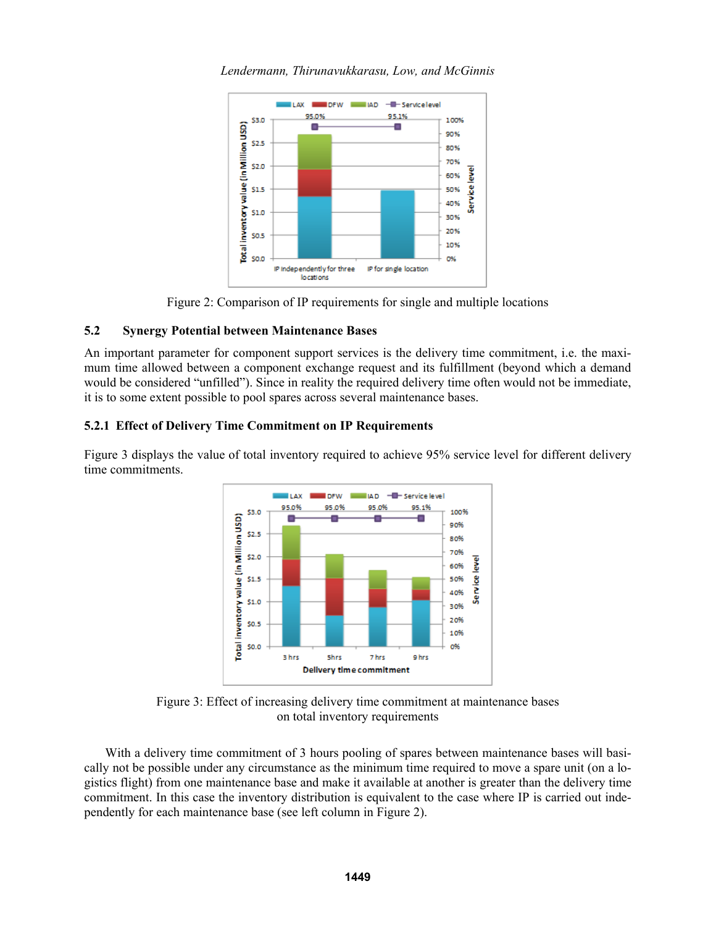

*Lendermann, Thirunavukkarasu, Low, and McGinnis*

Figure 2: Comparison of IP requirements for single and multiple locations

# **5.2 Synergy Potential between Maintenance Bases**

An important parameter for component support services is the delivery time commitment, i.e. the maximum time allowed between a component exchange request and its fulfillment (beyond which a demand would be considered "unfilled"). Since in reality the required delivery time often would not be immediate, it is to some extent possible to pool spares across several maintenance bases.

# **5.2.1 Effect of Delivery Time Commitment on IP Requirements**

Figure 3 displays the value of total inventory required to achieve 95% service level for different delivery time commitments.



Figure 3: Effect of increasing delivery time commitment at maintenance bases on total inventory requirements

With a delivery time commitment of 3 hours pooling of spares between maintenance bases will basically not be possible under any circumstance as the minimum time required to move a spare unit (on a logistics flight) from one maintenance base and make it available at another is greater than the delivery time commitment. In this case the inventory distribution is equivalent to the case where IP is carried out independently for each maintenance base (see left column in Figure 2).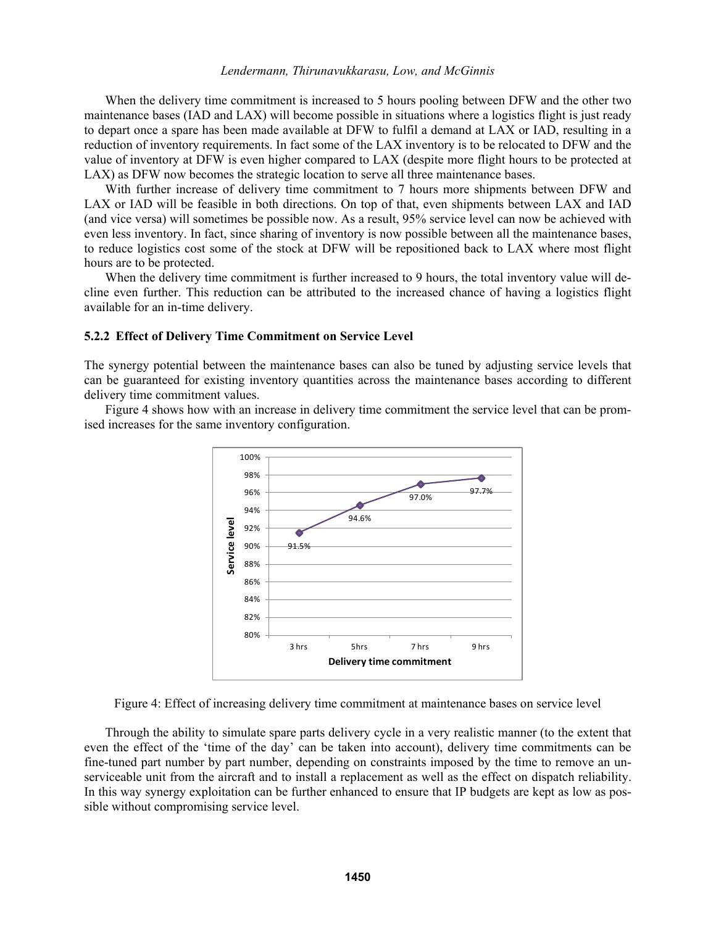When the delivery time commitment is increased to 5 hours pooling between DFW and the other two maintenance bases (IAD and LAX) will become possible in situations where a logistics flight is just ready to depart once a spare has been made available at DFW to fulfil a demand at LAX or IAD, resulting in a reduction of inventory requirements. In fact some of the LAX inventory is to be relocated to DFW and the value of inventory at DFW is even higher compared to LAX (despite more flight hours to be protected at LAX) as DFW now becomes the strategic location to serve all three maintenance bases.

With further increase of delivery time commitment to 7 hours more shipments between DFW and LAX or IAD will be feasible in both directions. On top of that, even shipments between LAX and IAD (and vice versa) will sometimes be possible now. As a result, 95% service level can now be achieved with even less inventory. In fact, since sharing of inventory is now possible between all the maintenance bases, to reduce logistics cost some of the stock at DFW will be repositioned back to LAX where most flight hours are to be protected.

When the delivery time commitment is further increased to 9 hours, the total inventory value will decline even further. This reduction can be attributed to the increased chance of having a logistics flight available for an in-time delivery.

#### **5.2.2 Effect of Delivery Time Commitment on Service Level**

The synergy potential between the maintenance bases can also be tuned by adjusting service levels that can be guaranteed for existing inventory quantities across the maintenance bases according to different delivery time commitment values.

Figure 4 shows how with an increase in delivery time commitment the service level that can be promised increases for the same inventory configuration.



Figure 4: Effect of increasing delivery time commitment at maintenance bases on service level

Through the ability to simulate spare parts delivery cycle in a very realistic manner (to the extent that even the effect of the 'time of the day' can be taken into account), delivery time commitments can be fine-tuned part number by part number, depending on constraints imposed by the time to remove an unserviceable unit from the aircraft and to install a replacement as well as the effect on dispatch reliability. In this way synergy exploitation can be further enhanced to ensure that IP budgets are kept as low as possible without compromising service level.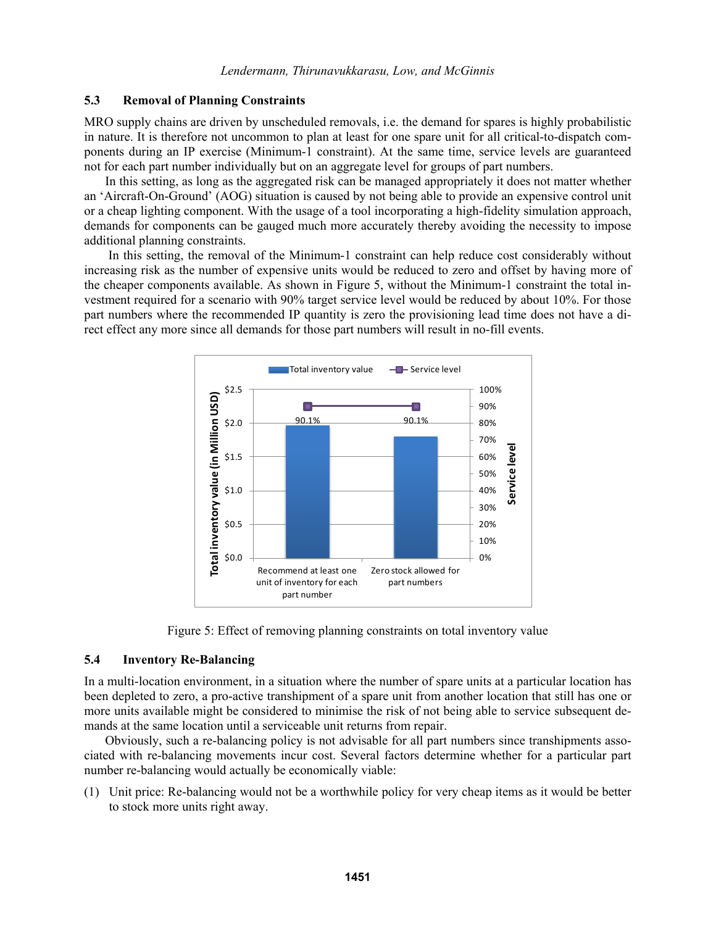## **5.3 Removal of Planning Constraints**

MRO supply chains are driven by unscheduled removals, i.e. the demand for spares is highly probabilistic in nature. It is therefore not uncommon to plan at least for one spare unit for all critical-to-dispatch components during an IP exercise (Minimum-1 constraint). At the same time, service levels are guaranteed not for each part number individually but on an aggregate level for groups of part numbers.

In this setting, as long as the aggregated risk can be managed appropriately it does not matter whether an 'Aircraft-On-Ground' (AOG) situation is caused by not being able to provide an expensive control unit or a cheap lighting component. With the usage of a tool incorporating a high-fidelity simulation approach, demands for components can be gauged much more accurately thereby avoiding the necessity to impose additional planning constraints.

In this setting, the removal of the Minimum-1 constraint can help reduce cost considerably without increasing risk as the number of expensive units would be reduced to zero and offset by having more of the cheaper components available. As shown in Figure 5, without the Minimum-1 constraint the total investment required for a scenario with 90% target service level would be reduced by about 10%. For those part numbers where the recommended IP quantity is zero the provisioning lead time does not have a direct effect any more since all demands for those part numbers will result in no-fill events.



Figure 5: Effect of removing planning constraints on total inventory value

## **5.4 Inventory Re-Balancing**

In a multi-location environment, in a situation where the number of spare units at a particular location has been depleted to zero, a pro-active transhipment of a spare unit from another location that still has one or more units available might be considered to minimise the risk of not being able to service subsequent demands at the same location until a serviceable unit returns from repair.

Obviously, such a re-balancing policy is not advisable for all part numbers since transhipments associated with re-balancing movements incur cost. Several factors determine whether for a particular part number re-balancing would actually be economically viable:

(1) Unit price: Re-balancing would not be a worthwhile policy for very cheap items as it would be better to stock more units right away.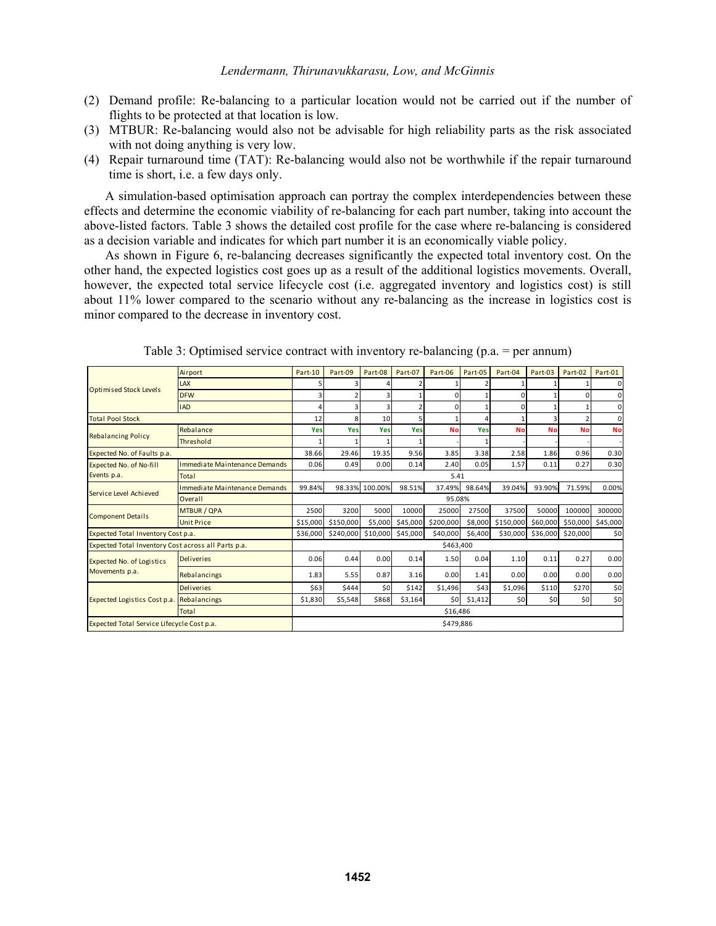- (2) Demand profile: Re-balancing to a particular location would not be carried out if the number of flights to be protected at that location is low.
- (3) MTBUR: Re-balancing would also not be advisable for high reliability parts as the risk associated with not doing anything is very low.
- (4) Repair turnaround time (TAT): Re-balancing would also not be worthwhile if the repair turnaround time is short, i.e. a few days only.

A simulation-based optimisation approach can portray the complex interdependencies between these effects and determine the economic viability of re-balancing for each part number, taking into account the above-listed factors. Table 3 shows the detailed cost profile for the case where re-balancing is considered as a decision variable and indicates for which part number it is an economically viable policy.

As shown in Figure 6, re-balancing decreases significantly the expected total inventory cost. On the other hand, the expected logistics cost goes up as a result of the additional logistics movements. Overall, however, the expected total service lifecycle cost (i.e. aggregated inventory and logistics cost) is still about 11% lower compared to the scenario without any re-balancing as the increase in logistics cost is minor compared to the decrease in inventory cost.

| <b>Optimised Stock Levels</b>                       | Airport                              | Part-10   | Part-09   | Part-08        | Part-07        | Part-06   | Part-05 | Part-04   | Part-03   | Part-02   | Part-01        |  |
|-----------------------------------------------------|--------------------------------------|-----------|-----------|----------------|----------------|-----------|---------|-----------|-----------|-----------|----------------|--|
|                                                     | LAX                                  | 5         |           |                |                |           |         |           |           |           | $\overline{0}$ |  |
|                                                     | <b>DFW</b>                           | 3         |           | $\overline{3}$ |                | 0         |         | $\Omega$  |           | $\Omega$  | 0              |  |
|                                                     | <b>IAD</b>                           | 4         |           | 3              | $\overline{2}$ | 0         |         | $\Omega$  |           |           | $\mathbf{0}$   |  |
| <b>Total Pool Stock</b>                             |                                      | 12        | R         | 10             | 5              |           |         |           |           |           | $\mathbf 0$    |  |
| <b>Rebalancing Policy</b>                           | Rebalance                            | Yes       | Yes       | Yes            | Yes            | <b>No</b> | Yes     | <b>No</b> | <b>No</b> | <b>No</b> | <b>No</b>      |  |
|                                                     | Threshold                            |           |           |                |                |           |         |           |           |           |                |  |
| Expected No. of Faults p.a.                         |                                      | 38.66     | 29.46     | 19.35          | 9.56           | 3.85      | 3.38    | 2.58      | 1.86      | 0.96      | 0.30           |  |
| Expected No. of No-fill                             | Immediate Maintenance Demands        | 0.06      | 0.49      | 0.00           | 0.14           | 2.40      | 0.05    | 1.57      | 0.11      | 0.27      | 0.30           |  |
| Events p.a.                                         | <b>Total</b>                         | 5.41      |           |                |                |           |         |           |           |           |                |  |
|                                                     | <b>Immediate Maintenance Demands</b> | 99.84%    | 98.33%    | 100.00%        | 98.51%         | 37.49%    | 98.64%  | 39.04%    | 93.90%    | 71.59%    | 0.00%          |  |
| Service Level Achieved                              | Overall                              | 95.08%    |           |                |                |           |         |           |           |           |                |  |
| <b>Component Details</b>                            | <b>MTBUR / QPA</b>                   | 2500      | 3200      | 5000           | 10000          | 25000     | 27500   | 37500     | 50000     | 100000    | 300000         |  |
|                                                     | <b>Unit Price</b>                    | \$15,000  | \$150,000 | \$5,000        | \$45,000       | \$200,000 | \$8,000 | \$150,000 | \$60,000  | \$50,000  | \$45,000       |  |
| Expected Total Inventory Cost p.a.                  |                                      | \$36,000  | \$240,000 | \$10,000       | \$45,000       | \$40,000  | \$6,400 | \$30,000  | \$36,000  | \$20,000  | \$0            |  |
| Expected Total Inventory Cost across all Parts p.a. |                                      | \$463,400 |           |                |                |           |         |           |           |           |                |  |
| <b>Expected No. of Logistics</b><br>Movements p.a.  | <b>Deliveries</b>                    | 0.06      | 0.44      | 0.00           | 0.14           | 1.50      | 0.04    | 1.10      | 0.11      | 0.27      | 0.00           |  |
|                                                     | Rebalancings                         | 1.83      | 5.55      | 0.87           | 3.16           | 0.00      | 1.41    | 0.00      | 0.00      | 0.00      | 0.00           |  |
| Expected Logistics Cost p.a.                        | <b>Deliveries</b>                    | \$63      | \$444     | \$0            | \$142          | \$1,496   | \$43    | \$1,096   | \$110     | \$270     | \$0            |  |
|                                                     | Rebalancings                         | \$1,830   | \$5,548   | \$868          | \$3,164        | \$0       | \$1,412 | \$0       | 50        | \$0       | \$0            |  |
|                                                     | <b>Total</b>                         | \$16,486  |           |                |                |           |         |           |           |           |                |  |
| Expected Total Service Lifecycle Cost p.a.          |                                      | \$479.886 |           |                |                |           |         |           |           |           |                |  |

Table 3: Optimised service contract with inventory re-balancing (p.a. = per annum)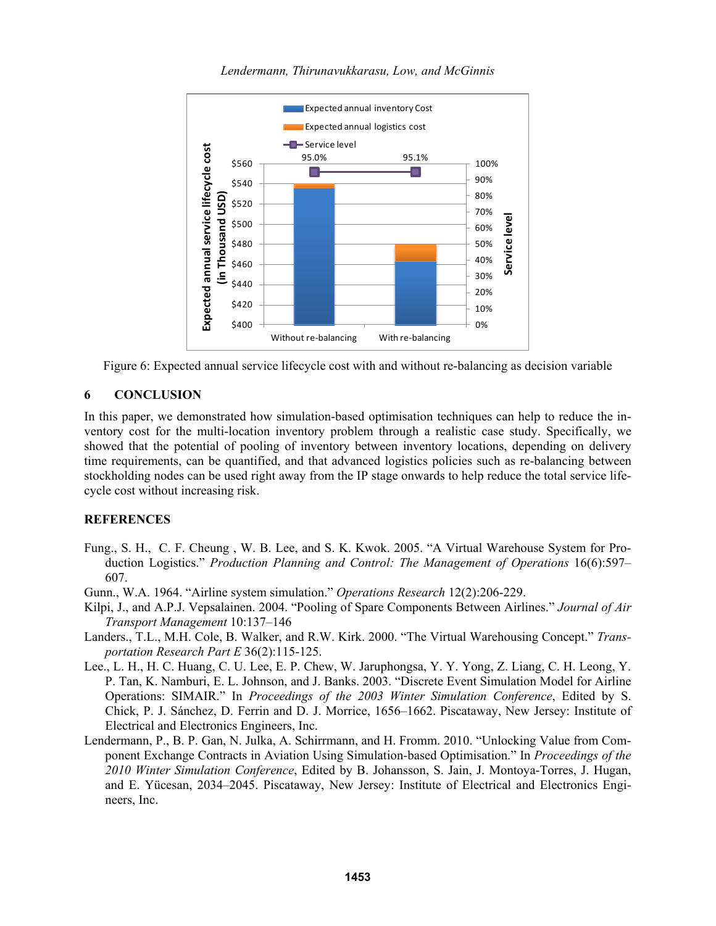



# **6 CONCLUSION**

In this paper, we demonstrated how simulation-based optimisation techniques can help to reduce the inventory cost for the multi-location inventory problem through a realistic case study. Specifically, we showed that the potential of pooling of inventory between inventory locations, depending on delivery time requirements, can be quantified, and that advanced logistics policies such as re-balancing between stockholding nodes can be used right away from the IP stage onwards to help reduce the total service lifecycle cost without increasing risk.

## **REFERENCES**

- Fung., S. H., C. F. Cheung , W. B. Lee, and S. K. Kwok. 2005. "A Virtual Warehouse System for Production Logistics." *Production Planning and Control: The Management of Operations* 16(6):597– 607.
- Gunn., W.A. 1964. "Airline system simulation." *Operations Research* 12(2):206-229.
- Kilpi, J., and A.P.J. Vepsalainen. 2004. "Pooling of Spare Components Between Airlines." *Journal of Air Transport Management* 10:137–146
- Landers., T.L., M.H. Cole, B. Walker, and R.W. Kirk. 2000. "The Virtual Warehousing Concept." *Transportation Research Part E* 36(2):115-125.
- Lee., L. H., H. C. Huang, C. U. Lee, E. P. Chew, W. Jaruphongsa, Y. Y. Yong, Z. Liang, C. H. Leong, Y. P. Tan, K. Namburi, E. L. Johnson, and J. Banks. 2003. "Discrete Event Simulation Model for Airline Operations: SIMAIR." In *Proceedings of the 2003 Winter Simulation Conference*, Edited by S. Chick, P. J. Sánchez, D. Ferrin and D. J. Morrice, 1656–1662. Piscataway, New Jersey: Institute of Electrical and Electronics Engineers, Inc.
- Lendermann, P., B. P. Gan, N. Julka, A. Schirrmann, and H. Fromm. 2010. "Unlocking Value from Component Exchange Contracts in Aviation Using Simulation-based Optimisation." In *Proceedings of the 2010 Winter Simulation Conference*, Edited by B. Johansson, S. Jain, J. Montoya-Torres, J. Hugan, and E. Yücesan, 2034–2045. Piscataway, New Jersey: Institute of Electrical and Electronics Engineers, Inc.